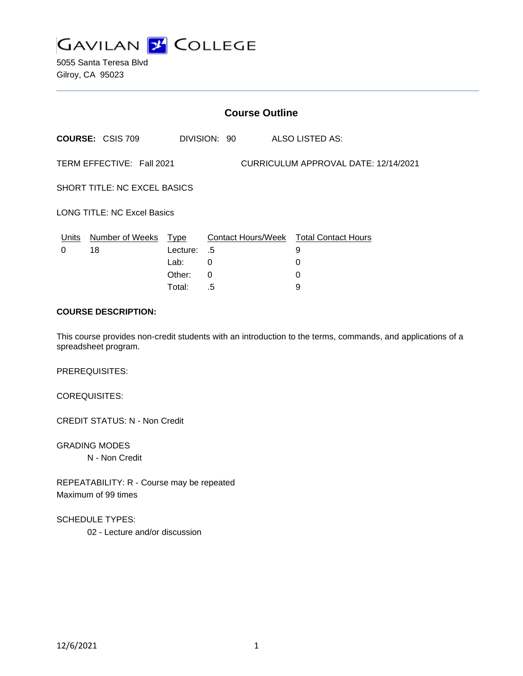

5055 Santa Teresa Blvd Gilroy, CA 95023

| <b>Course Outline</b>                                             |                                  |          |          |              |  |                                             |
|-------------------------------------------------------------------|----------------------------------|----------|----------|--------------|--|---------------------------------------------|
|                                                                   | <b>COURSE: CSIS 709</b>          |          |          | DIVISION: 90 |  | ALSO LISTED AS:                             |
| TERM EFFECTIVE: Fall 2021<br>CURRICULUM APPROVAL DATE: 12/14/2021 |                                  |          |          |              |  |                                             |
| <b>SHORT TITLE: NC EXCEL BASICS</b>                               |                                  |          |          |              |  |                                             |
| <b>LONG TITLE: NC Excel Basics</b>                                |                                  |          |          |              |  |                                             |
| 0                                                                 | Units Number of Weeks Type<br>18 | Lecture: | .5       |              |  | Contact Hours/Week Total Contact Hours<br>9 |
|                                                                   |                                  | Lab:     | 0        |              |  | 0                                           |
|                                                                   |                                  | Other:   | $\Omega$ |              |  | 0                                           |
|                                                                   |                                  | Total:   | .5       |              |  | 9                                           |

## **COURSE DESCRIPTION:**

This course provides non-credit students with an introduction to the terms, commands, and applications of a spreadsheet program.

PREREQUISITES:

COREQUISITES:

CREDIT STATUS: N - Non Credit

GRADING MODES N - Non Credit

REPEATABILITY: R - Course may be repeated Maximum of 99 times

SCHEDULE TYPES:

02 - Lecture and/or discussion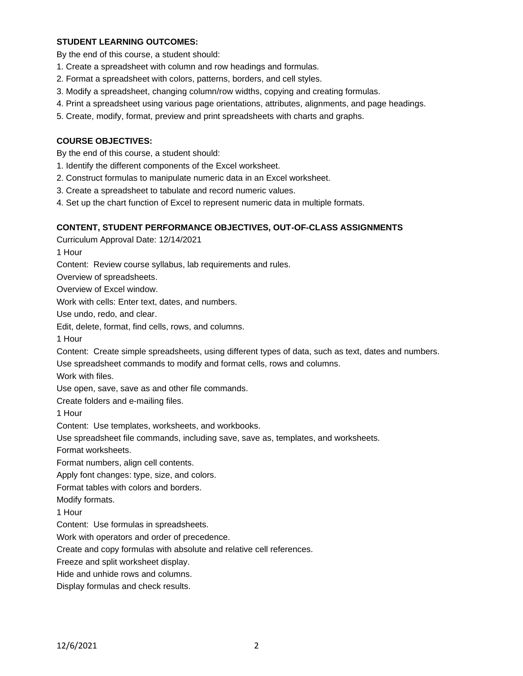## **STUDENT LEARNING OUTCOMES:**

By the end of this course, a student should:

- 1. Create a spreadsheet with column and row headings and formulas.
- 2. Format a spreadsheet with colors, patterns, borders, and cell styles.
- 3. Modify a spreadsheet, changing column/row widths, copying and creating formulas.
- 4. Print a spreadsheet using various page orientations, attributes, alignments, and page headings.
- 5. Create, modify, format, preview and print spreadsheets with charts and graphs.

## **COURSE OBJECTIVES:**

By the end of this course, a student should:

- 1. Identify the different components of the Excel worksheet.
- 2. Construct formulas to manipulate numeric data in an Excel worksheet.
- 3. Create a spreadsheet to tabulate and record numeric values.
- 4. Set up the chart function of Excel to represent numeric data in multiple formats.

#### **CONTENT, STUDENT PERFORMANCE OBJECTIVES, OUT-OF-CLASS ASSIGNMENTS**

Curriculum Approval Date: 12/14/2021

1 Hour

Content: Review course syllabus, lab requirements and rules.

Overview of spreadsheets.

Overview of Excel window.

Work with cells: Enter text, dates, and numbers.

Use undo, redo, and clear.

Edit, delete, format, find cells, rows, and columns.

1 Hour

Content: Create simple spreadsheets, using different types of data, such as text, dates and numbers.

Use spreadsheet commands to modify and format cells, rows and columns.

Work with files.

Use open, save, save as and other file commands.

Create folders and e-mailing files.

1 Hour

Content: Use templates, worksheets, and workbooks.

Use spreadsheet file commands, including save, save as, templates, and worksheets.

Format worksheets.

Format numbers, align cell contents.

Apply font changes: type, size, and colors.

Format tables with colors and borders.

Modify formats.

1 Hour

Content: Use formulas in spreadsheets.

Work with operators and order of precedence.

Create and copy formulas with absolute and relative cell references.

Freeze and split worksheet display.

Hide and unhide rows and columns.

Display formulas and check results.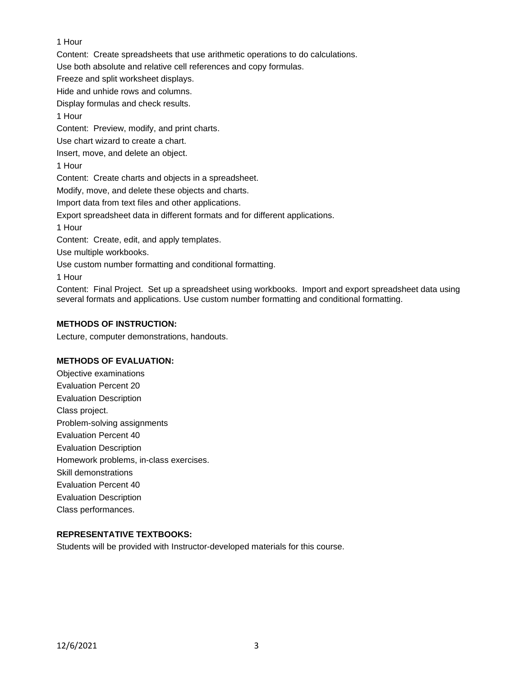# 1 Hour

Content: Create spreadsheets that use arithmetic operations to do calculations.

Use both absolute and relative cell references and copy formulas.

Freeze and split worksheet displays.

Hide and unhide rows and columns.

Display formulas and check results.

1 Hour

Content: Preview, modify, and print charts.

Use chart wizard to create a chart.

Insert, move, and delete an object.

1 Hour

Content: Create charts and objects in a spreadsheet.

Modify, move, and delete these objects and charts.

Import data from text files and other applications.

Export spreadsheet data in different formats and for different applications.

1 Hour

Content: Create, edit, and apply templates.

Use multiple workbooks.

Use custom number formatting and conditional formatting.

1 Hour

Content: Final Project. Set up a spreadsheet using workbooks. Import and export spreadsheet data using several formats and applications. Use custom number formatting and conditional formatting.

# **METHODS OF INSTRUCTION:**

Lecture, computer demonstrations, handouts.

# **METHODS OF EVALUATION:**

Objective examinations Evaluation Percent 20 Evaluation Description Class project. Problem-solving assignments Evaluation Percent 40 Evaluation Description Homework problems, in-class exercises. Skill demonstrations Evaluation Percent 40 Evaluation Description Class performances.

# **REPRESENTATIVE TEXTBOOKS:**

Students will be provided with Instructor-developed materials for this course.